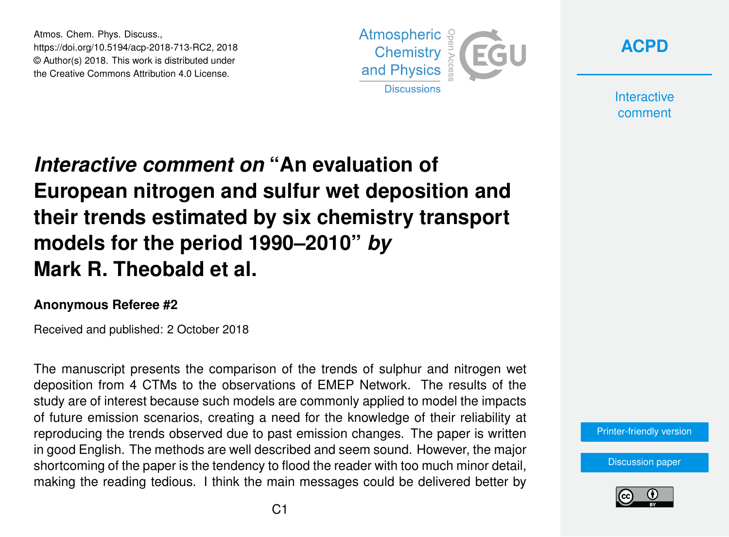Atmos. Chem. Phys. Discuss., https://doi.org/10.5194/acp-2018-713-RC2, 2018 © Author(s) 2018. This work is distributed under the Creative Commons Attribution 4.0 License.





**Interactive** comment

## *Interactive comment on* **"An evaluation of European nitrogen and sulfur wet deposition and their trends estimated by six chemistry transport models for the period 1990–2010"** *by* **Mark R. Theobald et al.**

## **Anonymous Referee #2**

Received and published: 2 October 2018

The manuscript presents the comparison of the trends of sulphur and nitrogen wet deposition from 4 CTMs to the observations of EMEP Network. The results of the study are of interest because such models are commonly applied to model the impacts of future emission scenarios, creating a need for the knowledge of their reliability at reproducing the trends observed due to past emission changes. The paper is written in good English. The methods are well described and seem sound. However, the major shortcoming of the paper is the tendency to flood the reader with too much minor detail, making the reading tedious. I think the main messages could be delivered better by

[Printer-friendly version](https://www.atmos-chem-phys-discuss.net/acp-2018-713/acp-2018-713-RC2-print.pdf)

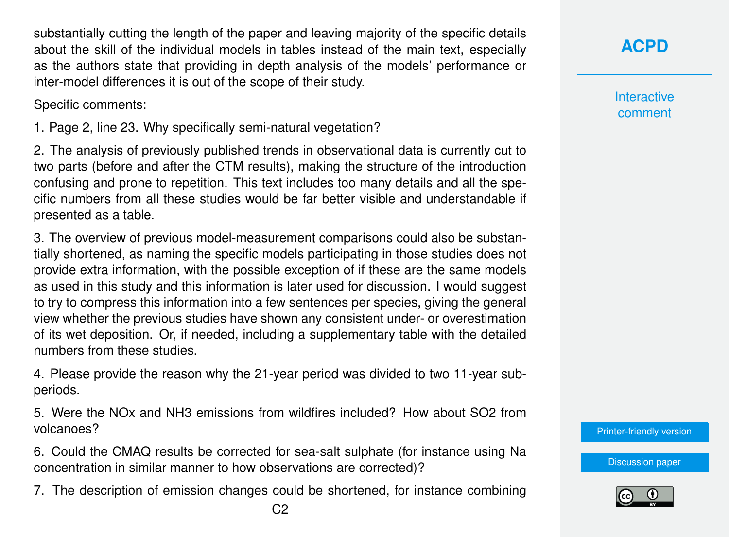substantially cutting the length of the paper and leaving majority of the specific details about the skill of the individual models in tables instead of the main text, especially as the authors state that providing in depth analysis of the models' performance or inter-model differences it is out of the scope of their study.

Specific comments:

1. Page 2, line 23. Why specifically semi-natural vegetation?

2. The analysis of previously published trends in observational data is currently cut to two parts (before and after the CTM results), making the structure of the introduction confusing and prone to repetition. This text includes too many details and all the specific numbers from all these studies would be far better visible and understandable if presented as a table.

3. The overview of previous model-measurement comparisons could also be substantially shortened, as naming the specific models participating in those studies does not provide extra information, with the possible exception of if these are the same models as used in this study and this information is later used for discussion. I would suggest to try to compress this information into a few sentences per species, giving the general view whether the previous studies have shown any consistent under- or overestimation of its wet deposition. Or, if needed, including a supplementary table with the detailed numbers from these studies.

4. Please provide the reason why the 21-year period was divided to two 11-year subperiods.

5. Were the NOx and NH3 emissions from wildfires included? How about SO2 from volcanoes?

6. Could the CMAQ results be corrected for sea-salt sulphate (for instance using Na concentration in similar manner to how observations are corrected)?

7. The description of emission changes could be shortened, for instance combining

**[ACPD](https://www.atmos-chem-phys-discuss.net/)**

**Interactive** comment

[Printer-friendly version](https://www.atmos-chem-phys-discuss.net/acp-2018-713/acp-2018-713-RC2-print.pdf)

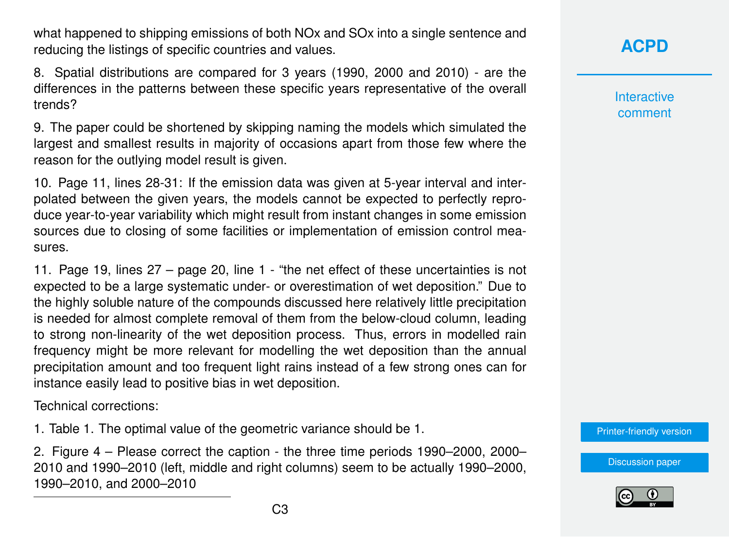what happened to shipping emissions of both NOx and SOx into a single sentence and reducing the listings of specific countries and values.

8. Spatial distributions are compared for 3 years (1990, 2000 and 2010) - are the differences in the patterns between these specific years representative of the overall trends?

9. The paper could be shortened by skipping naming the models which simulated the largest and smallest results in majority of occasions apart from those few where the reason for the outlying model result is given.

10. Page 11, lines 28-31: If the emission data was given at 5-year interval and interpolated between the given years, the models cannot be expected to perfectly reproduce year-to-year variability which might result from instant changes in some emission sources due to closing of some facilities or implementation of emission control measures.

11. Page 19, lines 27 – page 20, line 1 - "the net effect of these uncertainties is not expected to be a large systematic under- or overestimation of wet deposition." Due to the highly soluble nature of the compounds discussed here relatively little precipitation is needed for almost complete removal of them from the below-cloud column, leading to strong non-linearity of the wet deposition process. Thus, errors in modelled rain frequency might be more relevant for modelling the wet deposition than the annual precipitation amount and too frequent light rains instead of a few strong ones can for instance easily lead to positive bias in wet deposition.

Technical corrections:

1. Table 1. The optimal value of the geometric variance should be 1.

2. Figure 4 – Please correct the caption - the three time periods 1990–2000, 2000– 2010 and 1990–2010 (left, middle and right columns) seem to be actually 1990–2000, 1990–2010, and 2000–2010

**[ACPD](https://www.atmos-chem-phys-discuss.net/)**

**Interactive** comment

[Printer-friendly version](https://www.atmos-chem-phys-discuss.net/acp-2018-713/acp-2018-713-RC2-print.pdf)